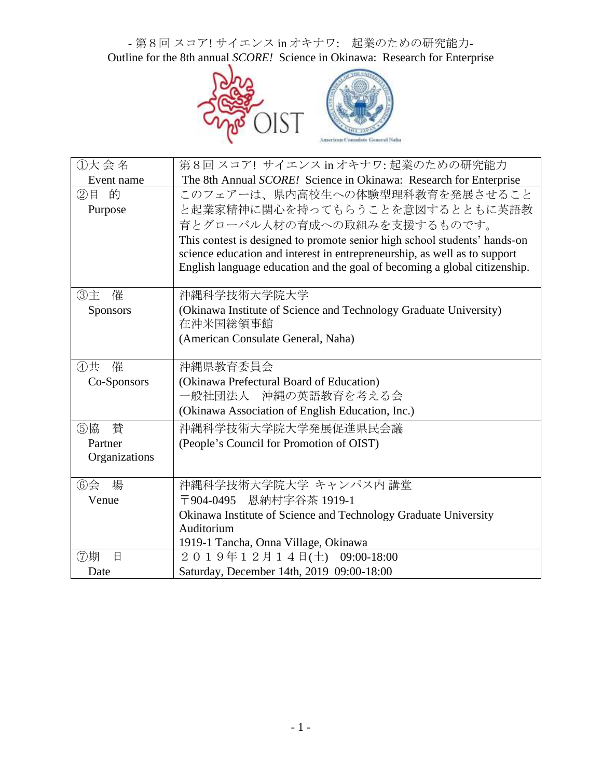- 第8回 スコア! サイエンス in オキナワ: 起業のための研究能力-Outline for the 8th annual *SCORE!* Science in Okinawa: Research for Enterprise



| ①大会名            | 第8回 スコア! サイエンス in オキナワ: 起業のための研究能力                                        |
|-----------------|---------------------------------------------------------------------------|
| Event name      | The 8th Annual SCORE! Science in Okinawa: Research for Enterprise         |
| ②目 的            | このフェアーは、県内高校生への体験型理科教育を発展させること                                            |
| Purpose         | と起業家精神に関心を持ってもらうことを意図するとともに英語教                                            |
|                 | 育とグローバル人材の育成への取組みを支援するものです。                                               |
|                 | This contest is designed to promote senior high school students' hands-on |
|                 | science education and interest in entrepreneurship, as well as to support |
|                 | English language education and the goal of becoming a global citizenship. |
| ③主<br>催         | 沖縄科学技術大学院大学                                                               |
| <b>Sponsors</b> | (Okinawa Institute of Science and Technology Graduate University)         |
|                 | 在沖米国総領事館                                                                  |
|                 | (American Consulate General, Naha)                                        |
| 催<br>④共         | 沖縄県教育委員会                                                                  |
| Co-Sponsors     | (Okinawa Prefectural Board of Education)                                  |
|                 | 一般社団法人 沖縄の英語教育を考える会                                                       |
|                 | (Okinawa Association of English Education, Inc.)                          |
| 替<br>⑤協         | 沖縄科学技術大学院大学発展促進県民会議                                                       |
| Partner         | (People's Council for Promotion of OIST)                                  |
| Organizations   |                                                                           |
| 場<br>$6$ 会      | 沖縄科学技術大学院大学 キャンパス内 講堂                                                     |
| Venue           | 〒904-0495 恩納村字谷茶 1919-1                                                   |
|                 | Okinawa Institute of Science and Technology Graduate University           |
|                 | Auditorium                                                                |
|                 | 1919-1 Tancha, Onna Village, Okinawa                                      |
| ⑦期<br>日         | 2019年12月14日(土) 09:00-18:00                                                |
| Date            | Saturday, December 14th, 2019 09:00-18:00                                 |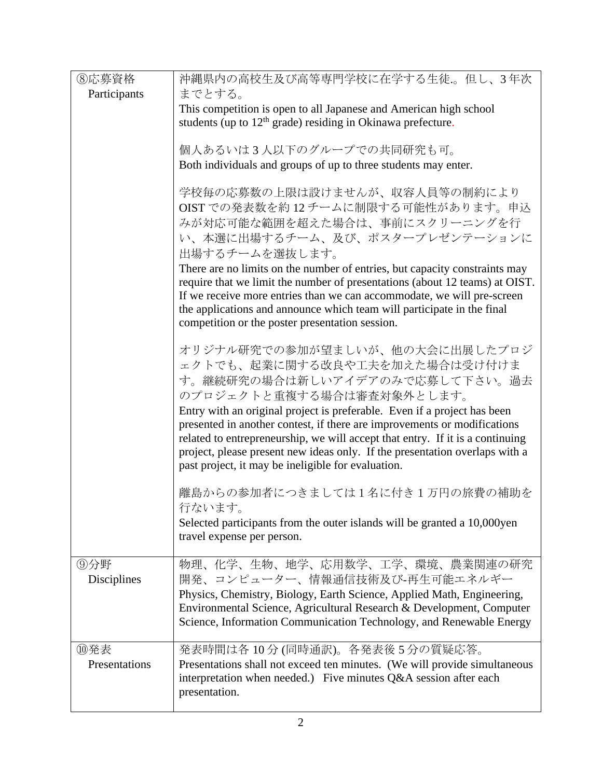| 8応募資格                | 沖縄県内の高校生及び高等専門学校に在学する生徒。但し、3年次                                                                                                                                                                                                                                                                                                                                                                                                                                                                                              |
|----------------------|-----------------------------------------------------------------------------------------------------------------------------------------------------------------------------------------------------------------------------------------------------------------------------------------------------------------------------------------------------------------------------------------------------------------------------------------------------------------------------------------------------------------------------|
| Participants         | までとする。                                                                                                                                                                                                                                                                                                                                                                                                                                                                                                                      |
|                      | This competition is open to all Japanese and American high school                                                                                                                                                                                                                                                                                                                                                                                                                                                           |
|                      | students (up to $12th$ grade) residing in Okinawa prefecture.                                                                                                                                                                                                                                                                                                                                                                                                                                                               |
|                      | 個人あるいは3人以下のグループでの共同研究も可。                                                                                                                                                                                                                                                                                                                                                                                                                                                                                                    |
|                      | Both individuals and groups of up to three students may enter.                                                                                                                                                                                                                                                                                                                                                                                                                                                              |
|                      | 学校毎の応募数の上限は設けませんが、収容人員等の制約により<br>OIST での発表数を約12チームに制限する可能性があります。申込<br>みが対応可能な範囲を超えた場合は、事前にスクリーニングを行<br>い、本選に出場するチーム、及び、ポスタープレゼンテーションに<br>出場するチームを選抜します。<br>There are no limits on the number of entries, but capacity constraints may<br>require that we limit the number of presentations (about 12 teams) at OIST.<br>If we receive more entries than we can accommodate, we will pre-screen<br>the applications and announce which team will participate in the final<br>competition or the poster presentation session. |
|                      | オリジナル研究での参加が望ましいが、他の大会に出展したプロジ<br>ェクトでも、起業に関する改良や工夫を加えた場合は受け付けま<br>す。継続研究の場合は新しいアイデアのみで応募して下さい。過去<br>のプロジェクトと重複する場合は審査対象外とします。<br>Entry with an original project is preferable. Even if a project has been<br>presented in another contest, if there are improvements or modifications<br>related to entrepreneurship, we will accept that entry. If it is a continuing<br>project, please present new ideas only. If the presentation overlaps with a<br>past project, it may be ineligible for evaluation.                |
|                      | 離島からの参加者につきましては1名に付き1万円の旅費の補助を<br>行ないます。<br>Selected participants from the outer islands will be granted a 10,000yen<br>travel expense per person.                                                                                                                                                                                                                                                                                                                                                                          |
| ⑨分野<br>Disciplines   | 物理、化学、生物、地学、応用数学、工学、環境、農業関連の研究<br>開発、コンピューター、情報通信技術及び-再生可能エネルギー<br>Physics, Chemistry, Biology, Earth Science, Applied Math, Engineering,<br>Environmental Science, Agricultural Research & Development, Computer<br>Science, Information Communication Technology, and Renewable Energy                                                                                                                                                                                                                                    |
| ⑩発表<br>Presentations | 発表時間は各 10分 (同時通訳)。各発表後 5 分の質疑応答。<br>Presentations shall not exceed ten minutes. (We will provide simultaneous<br>interpretation when needed.) Five minutes Q&A session after each<br>presentation.                                                                                                                                                                                                                                                                                                                          |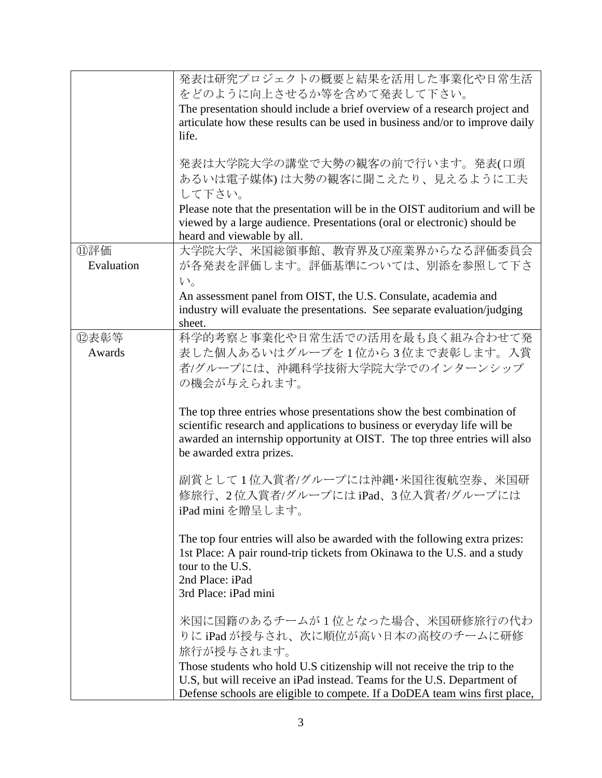|            | 発表は研究プロジェクトの概要と結果を活用した事業化や日常生活<br>をどのように向上させるか等を含めて発表して下さい。<br>The presentation should include a brief overview of a research project and                                                                                                                     |
|------------|---------------------------------------------------------------------------------------------------------------------------------------------------------------------------------------------------------------------------------------------------------------|
|            | articulate how these results can be used in business and/or to improve daily<br>life.                                                                                                                                                                         |
|            | 発表は大学院大学の講堂で大勢の観客の前で行います。発表(口頭<br>あるいは電子媒体)は大勢の観客に聞こえたり、見えるように工夫                                                                                                                                                                                              |
|            | して下さい。<br>Please note that the presentation will be in the OIST auditorium and will be<br>viewed by a large audience. Presentations (oral or electronic) should be<br>heard and viewable by all.                                                              |
| ⑪評価        | 大学院大学、米国総領事館、教育界及び産業界からなる評価委員会                                                                                                                                                                                                                                |
| Evaluation | が各発表を評価します。評価基準については、別添を参照して下さ                                                                                                                                                                                                                                |
|            | $V_{0}$                                                                                                                                                                                                                                                       |
|            | An assessment panel from OIST, the U.S. Consulate, academia and                                                                                                                                                                                               |
|            | industry will evaluate the presentations. See separate evaluation/judging                                                                                                                                                                                     |
|            | sheet.                                                                                                                                                                                                                                                        |
| ⑫表彰等       | 科学的考察と事業化や日常生活での活用を最も良く組み合わせて発                                                                                                                                                                                                                                |
| Awards     | 表した個人あるいはグループを1位から3位まで表彰します。入賞                                                                                                                                                                                                                                |
|            | 者/グループには、沖縄科学技術大学院大学でのインターンシップ                                                                                                                                                                                                                                |
|            | の機会が与えられます。                                                                                                                                                                                                                                                   |
|            | The top three entries whose presentations show the best combination of<br>scientific research and applications to business or everyday life will be<br>awarded an internship opportunity at OIST. The top three entries will also<br>be awarded extra prizes. |
|            | 副賞として1位入賞者/グループには沖縄・米国往復航空券、米国研<br>修旅行、2位入賞者/グループにはiPad、3位入賞者/グループには<br>iPad mini を贈呈します。                                                                                                                                                                     |
|            | The top four entries will also be awarded with the following extra prizes:<br>1st Place: A pair round-trip tickets from Okinawa to the U.S. and a study<br>tour to the U.S.<br>2nd Place: iPad<br>3rd Place: iPad mini                                        |
|            | 米国に国籍のあるチームが1位となった場合、米国研修旅行の代わ<br>りにiPadが授与され、次に順位が高い日本の高校のチームに研修<br>旅行が授与されます。<br>Those students who hold U.S citizenship will not receive the trip to the                                                                                                   |
|            | U.S, but will receive an iPad instead. Teams for the U.S. Department of<br>Defense schools are eligible to compete. If a DoDEA team wins first place,                                                                                                         |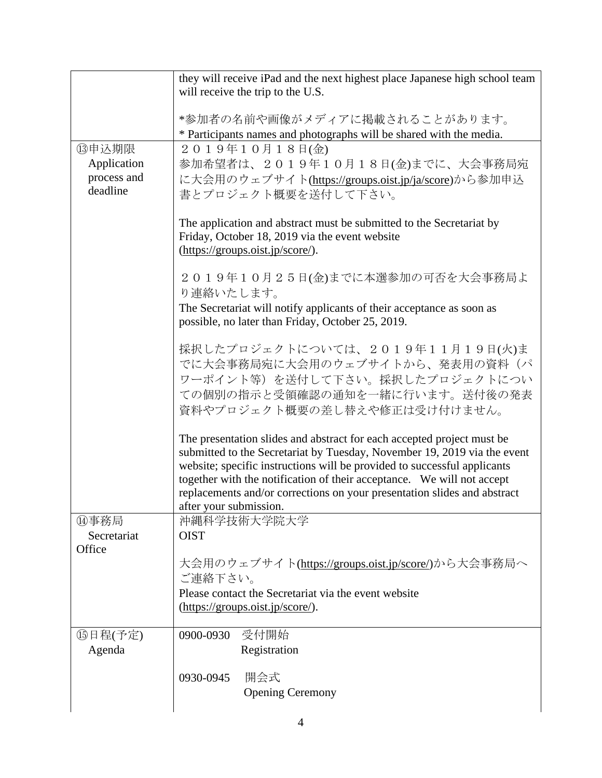|                       | they will receive iPad and the next highest place Japanese high school team<br>will receive the trip to the U.S. |
|-----------------------|------------------------------------------------------------------------------------------------------------------|
|                       | *参加者の名前や画像がメディアに掲載されることがあります。                                                                                    |
|                       | * Participants names and photographs will be shared with the media.                                              |
| ⑬申込期限                 | 2019年10月18日(金)                                                                                                   |
| Application           | 参加希望者は、2019年10月18日(金)までに、大会事務局宛                                                                                  |
| process and           | に大会用のウェブサイト(https://groups.oist.jp/ja/score)から参加申込                                                               |
| deadline              | 書とプロジェクト概要を送付して下さい。                                                                                              |
|                       | The application and abstract must be submitted to the Secretariat by                                             |
|                       | Friday, October 18, 2019 via the event website                                                                   |
|                       | (https://groups.oist.jp/score/).                                                                                 |
|                       | 2019年10月25日(金)までに本選参加の可否を大会事務局よ<br>り連絡いたします。                                                                     |
|                       | The Secretariat will notify applicants of their acceptance as soon as                                            |
|                       | possible, no later than Friday, October 25, 2019.                                                                |
|                       | 採択したプロジェクトについては、2019年11月19日(火)ま                                                                                  |
|                       | でに大会事務局宛に大会用のウェブサイトから、発表用の資料(パ                                                                                   |
|                       | ワーポイント等)を送付して下さい。採択したプロジェクトについ                                                                                   |
|                       | ての個別の指示と受領確認の通知を一緒に行います。送付後の発表                                                                                   |
|                       | 資料やプロジェクト概要の差し替えや修正は受け付けません。                                                                                     |
|                       | The presentation slides and abstract for each accepted project must be                                           |
|                       | submitted to the Secretariat by Tuesday, November 19, 2019 via the event                                         |
|                       | website; specific instructions will be provided to successful applicants                                         |
|                       | together with the notification of their acceptance. We will not accept                                           |
|                       | replacements and/or corrections on your presentation slides and abstract                                         |
| ⑭事務局                  | after your submission.<br>沖縄科学技術大学院大学                                                                            |
| Secretariat<br>Office | <b>OIST</b>                                                                                                      |
|                       | 大会用のウェブサイト(https://groups.oist.jp/score/)から大会事務局へ<br>ご連絡下さい。                                                     |
|                       | Please contact the Secretariat via the event website                                                             |
|                       | (https://groups.oist.jp/score/).                                                                                 |
| 15日程(予定)              | 受付開始<br>0900-0930                                                                                                |
| Agenda                | Registration                                                                                                     |
|                       |                                                                                                                  |
|                       | 開会式<br>0930-0945                                                                                                 |